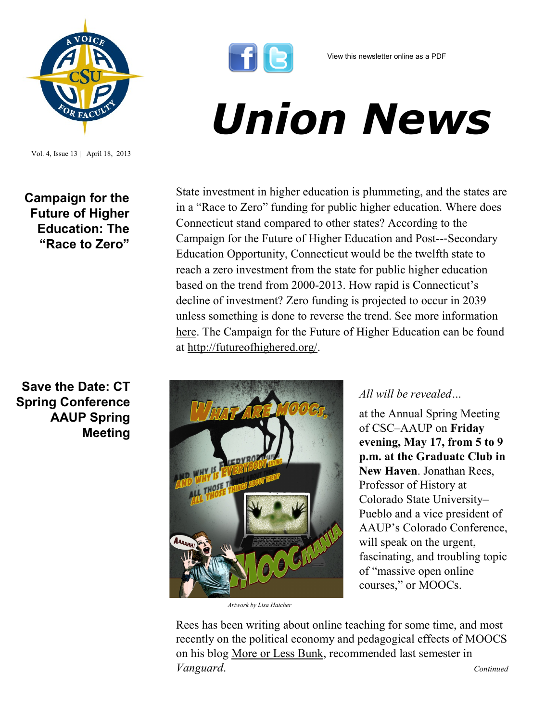

Vol. 4, Issue 13 | April 18, 2013

## **Campaign for the Future of Higher Education: The "Race to Zero"**

## **Save the Date: CT Spring Conference AAUP Spring Meeting**



## *Union News*

State investment in higher education is plummeting, and the states are in a "Race to Zero" funding for public higher education. Where does Connecticut stand compared to other states? According to the Campaign for the Future of Higher Education and Post--‐Secondary Education Opportunity, Connecticut would be the twelfth state to reach a zero investment from the state for public higher education based on the trend from 2000-2013. How rapid is Connecticut's decline of investment? Zero funding is projected to occur in 2039 unless something is done to reverse the trend. See more information [here.](http://www.csuaaup.org/wp-content/uploads/2013/04/CFHE-Tax-Day-flyer.pdf) The Campaign for the Future of Higher Education can be found at [http://futureofhighered.org/.](http://futureofhighered.org/) 



*Artwork by Lisa Hatcher*

## *All will be revealed…*

at the Annual Spring Meeting of CSC–AAUP on **Friday evening, May 17, from 5 to 9 p.m. at the Graduate Club in New Haven**. Jonathan Rees, Professor of History at Colorado State University– Pueblo and a vice president of AAUP's Colorado Conference, will speak on the urgent, fascinating, and troubling topic of "massive open online courses," or MOOCs.

Rees has been writing about online teaching for some time, and most recently on the political economy and pedagogical effects of MOOCS on his blog More or Less Bunk, recommended last semester in *Vanguard*. *Continued*